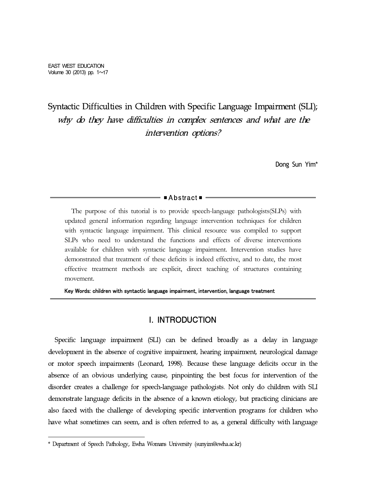# Syntactic Difficulties in Children with Specific Language Impairment (SLI); why do they have difficulties in complex sentences and what are the intervention options?

Dong Sun Yim\*

■Abstract■ <del>■</del> The purpose of this tutorial is to provide speech-language pathologists(SLPs) with updated general information regarding language intervention techniques for children with syntactic language impairment. This clinical resource was compiled to support SLPs who need to understand the functions and effects of diverse interventions available for children with syntactic language impairment. Intervention studies have demonstrated that treatment of these deficits is indeed effective, and to date, the most effective treatment methods are explicit, direct teaching of structures containing movement.

Key Words: children with syntactic language impairment, intervention, language treatment

# I. INTRODUCTION

Specific language impairment (SLI) can be defined broadly as a delay in language development in the absence of cognitive impairment, hearing impairment, neurological damage or motor speech impairments (Leonard, 1998). Because these language deficits occur in the absence of an obvious underlying cause, pinpointing the best focus for intervention of the disorder creates a challenge for speech-language pathologists. Not only do children with SLI demonstrate language deficits in the absence of a known etiology, but practicing clinicians are also faced with the challenge of developing specific intervention programs for children who have what sometimes can seem, and is often referred to as, a general difficulty with language

<sup>\*</sup> Department of Speech Pathology, Ewha Womans University (sunyim@ewha.ac.kr)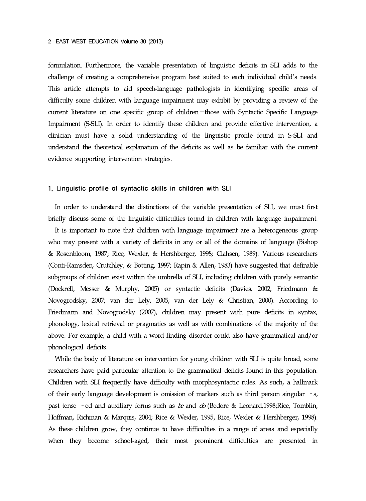formulation. Furthermore, the variable presentation of linguistic deficits in SLIadds to the challenge of creating a comprehensive program best suited to each individual child's needs. This article attempts to aid speech-language pathologists in identifying specific areas of difficulty some children with language impairment may exhibit by providing a review of the current literature on one specific group of children—those with Syntactic Specific Language Impairment (S-SLI). In order to identify these children and provide effective intervention, a clinician must have a solid understanding of the linguistic profile found in S-SLI and understand the theoretical explanation of the deficits as well as be familiar with the current evidence supporting intervention strategies.

#### 1. Linguistic profile of syntactic skills in children with SLI

In order to understand the distinctions of the variable presentation of SLI, we must first briefly discuss some of the linguistic difficulties found in children with language impairment.

It is important to note that children with language impairment are a heterogeneous group who may present with a variety of deficits in any or all of the domains of language (Bishop & Rosenbloom, 1987; Rice, Wexler, & Hershberger, 1998; Clahsen, 1989). Various researchers (Conti-Ramsden, Crutchley, & Botting, 1997; Rapin & Allen, 1983) have suggested that definable subgroups of children exist within the umbrella of SLI, including children with purely semantic (Dockrell, Messer & Murphy, 2005) or syntactic deficits (Davies, 2002; Friedmann & Novogrodsky, 2007; van der Lely, 2005; van der Lely & Christian, 2000). According to Friedmann and Novogrodsky (2007), children may present with pure deficits in syntax, phonology, lexical retrieval or pragmatics as well as with combinations of the majority of the above. For example, a child with a word finding disorder could also have grammatical and/or phonological deficits.

While the body of literature on intervention for young children with SLI is quite broad, some researchers have paid particular attention to the grammatical deficits found in this population. Children with SLI frequently have difficulty with morphosyntactic rules. As such, a hallmark of their early language development is omission of markers such as third person singular –s, past tense – ed and auxiliary forms such as  $be$  and  $do$  (Bedore & Leonard,1998;Rice, Tomblin, Hoffman, Richman & Marquis,2004; Rice & Wexler, 1995, Rice, Wexler & Hershberger, 1998). As these children grow, they continue to have difficulties in a range of areas and especially when they become school-aged, their most prominent difficulties are presented in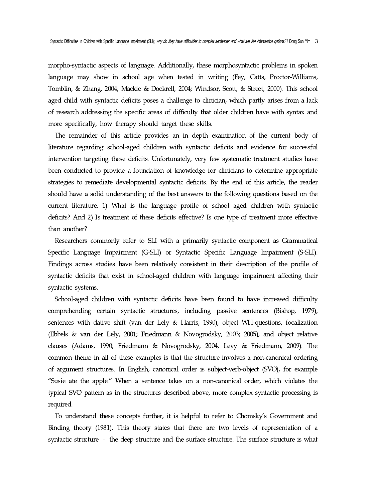morpho-syntactic aspects of language. Additionally, these morphosyntactic problems in spoken language may show in school age when tested in writing (Fey, Catts, Proctor-Williams, Tomblin, & Zhang, 2004; Mackie & Dockrell, 2004; Windsor, Scott, & Street, 2000). This school aged child with syntactic deficits poses a challenge to clinician, which partly arises from a lack of research addressing the specific areas of difficulty that older children have with syntax and more specifically, how therapy should target these skills.

The remainder of this article provides an in depth examination of the current body of literature regarding school-aged children with syntactic deficits and evidence for successful intervention targeting these deficits. Unfortunately, very few systematic treatment studies have been conducted to provide a foundation of knowledge for clinicians to determine appropriate strategies to remediate developmental syntactic deficits. By the end of this article, the reader should have a solid understanding of the best answers to the following questions based on the current literature. 1) What is the language profile of school aged children with syntactic deficits? And 2) Is treatment of these deficits effective? Is one type of treatment more effective than another?

Researchers commonly refer to SLI with a primarily syntactic component as Grammatical Specific Language Impairment (G-SLI) or Syntactic Specific Language Impairment (S-SLI). Findings across studies have been relatively consistent in their description of the profile of syntactic deficits that exist in school-aged children with language impairment affecting their syntactic systems.

School-aged children with syntactic deficits have been found to have increased difficulty comprehending certain syntactic structures, including passive sentences (Bishop, 1979), sentences with dative shift (van der Lely & Harris, 1990), object WH-questions, focalization (Ebbels & van der Lely, 2001; Friedmann & Novogrodsky, 2003; 2005), and object relative clauses (Adams, 1990; Friedmann & Novogrodsky, 2004, Levy & Friedmann, 2009). The common theme in all of these examples is that the structure involves a non-canonical ordering of argument structures. In English, canonical order is subject-verb-object (SVO), for example "Susie ate the apple." When a sentence takes on a non-canonical order, which violates the typical SVO pattern as in the structures described above, more complex syntactic processing is required.

To understand these concepts further, it is helpful to refer to Chomsky's Government and Binding theory (1981). This theory states that there are two levels of representation of a syntactic structure – the deep structure and the surface structure. The surface structure is what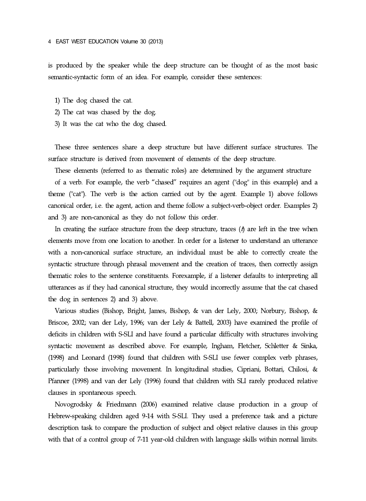is produced by the speaker while the deep structure can be thought of as the most basic semantic-syntactic form of an idea. For example, consider these sentences:

- 1) The dog chased the cat.
- 2) The cat was chased by the dog.
- 3) It was the cat who the dog chased.

These three sentences share a deep structure but have different surface structures. The surface structure is derived from movement of elements of the deep structure.

These elements (referred to as thematic roles) are determined by the argument structure

of a verb. For example, the verb "chased" requires an agent ("dog" in this example) and a theme ("cat"). The verb is the action carried out by the agent. Example 1) above follows canonical order, i.e. the agent, action and theme follow a subject-verb-object order. Examples 2) and 3) are non-canonical as they do not follow this order.

In creating the surface structure from the deep structure, traces  $(\hat{t})$  are left in the tree when elements move from one location to another. In order for a listener to understand an utterance with a non-canonical surface structure, an individual must be able to correctly create the syntactic structure through phrasal movement and the creation of traces, then correctly assign thematic roles to the sentence constituents. Forexample, if a listener defaults to interpreting all utterances as if they had canonical structure, they would incorrectly assume that the cat chased the dog in sentences 2) and 3) above.

Various studies (Bishop, Bright, James, Bishop, & van der Lely, 2000; Norbury, Bishop, & Briscoe, 2002; van der Lely, 1996; van der Lely & Battell, 2003) have examined the profile of deficits in children with S-SLI and have found a particular difficulty with structures involving syntactic movement as described above. For example, Ingham, Fletcher, Schletter & Sinka, (1998) and Leonard (1998) found that children with S-SLI use fewer complex verb phrases, particularly those involving movement. In longitudinal studies, Cipriani, Bottari, Chilosi, & Pfanner (1998) and van der Lely (1996) found that children with SLI rarely produced relative clauses in spontaneous speech.

Novogrodsky & Friedmann (2006) examined relative clause production in a group of Hebrew-speaking children aged 9-14 with S-SLI. They used a preference task and a picture description task to compare the production of subject and object relative clauses in this group with that of a control group of 7-11 year-old children with language skills within normal limits.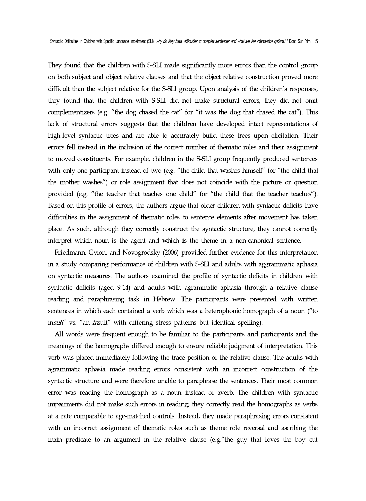They found that the children with S-SLI made significantly more errors than the control group on both subject and object relative clauses and that the object relative construction proved more difficult than the subject relative for the S-SLI group. Upon analysis of the children's responses, they found that the children with S-SLI did not make structural errors; they did not omit complementizers (e.g. "the dog chased the cat" for "it was the dog that chased the cat"). This lack of structural errors suggests that the children have developed intact representations of high-level syntactic trees and are able to accurately build these trees upon elicitation. Their errors fell instead in the inclusion of the correct number of thematic roles and their assignment to moved constituents. For example, children in the S-SLI group frequently produced sentences with only one participant instead of two (e.g. "the child that washes himself" for "the child that the mother washes") or role assignment that does not coincide with the picture or question provided (e.g. "the teacher that teaches one child" for "the child that the teacher teaches"). Based on this profile of errors, the authors argue that older children with syntactic deficits have difficulties in the assignment of thematic roles to sentence elements after movement has taken place. As such, although they correctly construct the syntactic structure, they cannot correctly interpret which noun is the agent and which is the theme in a non-canonical sentence.

Friedmann, Gvion, and Novogrodsky (2006) provided further evidence for this interpretation in a study comparing performance of children with S-SLI and adults with aggrammatic aphasia on syntactic measures. The authors examined the profile of syntactic deficits in children with syntactic deficits (aged 9-14) and adults with agrammatic aphasia through a relative clause reading and paraphrasing task in Hebrew. The participants were presented with written sentences in which each contained a verb which was a heterophonic homograph of a noun ("to insult' vs. "an insult" with differing stress patterns but identical spelling).

All words were frequent enough to be familiar to the participants and participants and the meanings of the homographs differed enough to ensure reliable judgment of interpretation. This verb was placed immediately following the trace position of the relative clause. The adults with agrammatic aphasia made reading errors consistent with an incorrect construction of the syntactic structure and were therefore unable to paraphrase the sentences. Their most common error was reading the homograph as a noun instead of averb. The children with syntactic impairments did not make such errors in reading; they correctly read the homographs as verbs at a rate comparable to age-matched controls. Instead, they made paraphrasing errors consistent with an incorrect assignment of thematic roles such as theme role reversal and ascribing the main predicate to an argument in the relative clause (e.g."the guy that loves the boy cut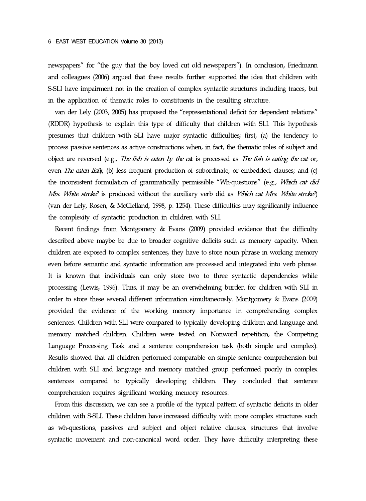newspapers" for "the guy that the boy loved cut old newspapers"). In conclusion, Friedmann and colleagues (2006) argued that these results further supported the idea that children with S-SLI have impairment not in the creation of complex syntactic structures including traces, but in the application of thematic roles to constituents in the resulting structure.

van der Lely (2003, 2005) has proposed the "representational deficit for dependent relations" (RDDR) hypothesis to explain this type of difficulty that children with SLI. This hypothesis presumes that children with SLIhave major syntactic difficulties; first, (a) the tendency to process passive sentences as active constructions when, in fact, the thematic roles of subject and object are reversed (e.g., The fish is eaten by the cat is processed as The fish is eating the cat or, even *The eaten fish*); (b) less frequent production of subordinate, or embedded, clauses; and (c) the inconsistent formulation of grammatically permissible "Wh-questions" (e.g., *Which cat did* Mrs. White stroke? is produced without the auxiliary verb did as *Which cat Mrs. White stroke?*) (van der Lely, Rosen, & McClelland, 1998, p. 1254). These difficulties may significantly influence the complexity of syntactic production in children with SLI.

Recent findings from Montgomery & Evans (2009) provided evidence that the difficulty described above maybe be due to broader cognitive deficits such as memory capacity. When children are exposed to complex sentences, they have to store noun phrase in working memory even before semantic and syntactic information are processed and integrated into verb phrase. It is known that individuals can only store two to three syntactic dependencies while processing (Lewis, 1996). Thus, it may be an overwhelming burden for children with SLI in order to store these several different information simultaneously. Montgomery & Evans (2009) provided the evidence of the working memory importance in comprehending complex sentences. Children with SLI were compared to typically developing children and language and memory matched children. Children were tested on Nonword repetition, the Competing Language Processing Task and a sentence comprehension task (both simple and complex). Results showed that all children performed comparable on simple sentence comprehension but children with SLI and language and memory matched group performed poorly in complex sentences compared to typically developing children. They concluded that sentence comprehension requires significant working memory resources.

From this discussion, we can see a profile of the typical pattern of syntactic deficits in older children with S-SLI. These children have increased difficulty with more complex structures such as wh-questions, passives and subject and object relative clauses, structures that involve syntactic movement and non-canonical word order. They have difficulty interpreting these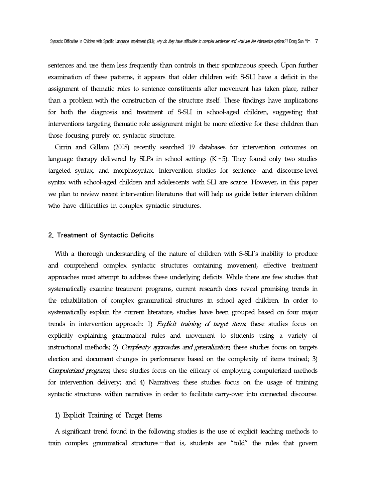sentences and use them less frequently than controls in their spontaneous speech. Upon further examination of these patterns, it appears that older children with S-SLI have a deficit in the assignment of thematic roles to sentence constituents after movement has taken place, rather than a problem with the construction of the structure itself. These findings have implications for both the diagnosis and treatment of S-SLI in school-aged children, suggesting that interventions targeting thematic role assignment might be more effective for these children than those focusing purely on syntactic structure.

Cirrin and Gillam (2008) recently searched 19 databases for intervention outcomes on language therapy delivered by SLPs in school settings  $(K-5)$ . They found only two studies targeted syntax, and morphosyntax. Intervention studies for sentence- and discourse-level syntax with school-aged children and adolescents with SLI are scarce. However, in this paper we plan to review recent intervention literatures that will help us guide better interven children who have difficulties in complex syntactic structures.

#### 2. Treatment of Syntactic Deficits

With a thorough understanding of the nature of children with S-SLI's inability to produce and comprehend complex syntactic structures containing movement, effective treatment approaches must attempt to address these underlying deficits. While there are few studies that systematically examine treatment programs, current research does reveal promising trends in the rehabilitation of complex grammatical structures in school aged children. In order to systematically explain the current literature, studies have been grouped based on four major trends in intervention approach: 1) Explicit training of target items, these studies focus on explicitly explaining grammatical rules and movement to students using a variety of instructional methods; 2) *Complexity approaches and generalization*; these studies focus on targets election and document changes in performance based on the complexity of items trained; 3) Computerized programs; these studies focus on the efficacy of employing computerized methods for intervention delivery; and 4) Narratives; these studies focus on the usage of training syntactic structures within narratives in order to facilitate carry-over into connected discourse.

#### 1) Explicit Training of Target Items

A significant trend found in the following studies is the use of explicit teaching methods to train complex grammatical structures—that is, students are "told" the rules that govern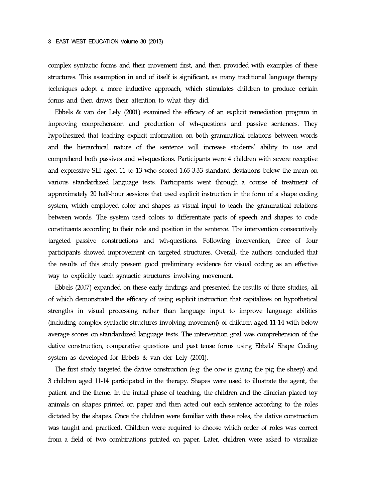complex syntactic forms and their movement first, and then provided with examples of these structures. This assumption in and of itself is significant, as many traditional language therapy techniques adopt a more inductive approach, which stimulates children to produce certain forms and then draws their attention to what they did.

Ebbels & van der Lely (2001) examined the efficacy of an explicit remediation program in improving comprehension and production of wh-questions and passive sentences. They hypothesized that teaching explicit information on both grammatical relations between words and the hierarchical nature of the sentence will increase students' ability to use and comprehend both passives and wh-questions. Participants were 4 children with severe receptive and expressive SLI aged 11 to 13 who scored 1.65-3.33 standard deviations below the mean on various standardized language tests. Participants went through a course of treatment of approximately 20 half-hour sessions that used explicit instruction in the form of a shape coding system, which employed color and shapes as visual input to teach the grammatical relations between words. The system used colors to differentiate parts of speech and shapes to code constituents according to their role and position in the sentence. The intervention consecutively targeted passive constructions and wh-questions. Following intervention, three of four participants showed improvement on targeted structures. Overall, the authors concluded that the results of this study present good preliminary evidence for visual coding as an effective way to explicitly teach syntactic structures involving movement.

Ebbels (2007) expanded on these early findings and presented the results of three studies, all of which demonstrated the efficacy of using explicit instruction thatcapitalizes on hypothetical strengths in visual processing rather than language input to improve language abilities (including complex syntactic structures involving movement) of children aged 11-14 with below average scores on standardized language tests. The intervention goal was comprehension of the dative construction, comparative questions and past tense forms using Ebbels' Shape Coding system as developed for Ebbels  $&$  van der Lely (2001).

The first study targeted the dative construction (e.g. the cow is giving the pig the sheep) and 3 children aged 11-14 participated in the therapy. Shapes were used to illustrate the agent, the patient and the theme. In the initial phase of teaching, the children and the clinician placed toy animals on shapes printed on paper and then acted out each sentence according to the roles dictated by the shapes. Once the children were familiar with these roles, the dative construction was taught and practiced. Children were required to choose which order of roles was correct from a field of two combinations printed on paper. Later, children were asked to visualize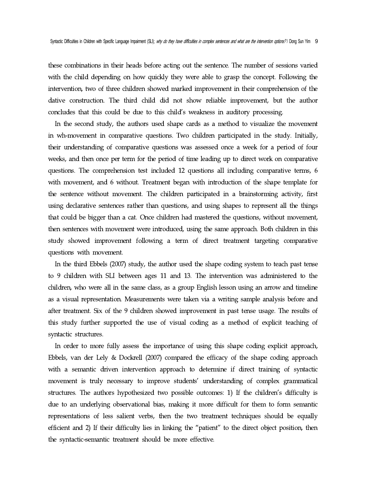these combinations in their heads before acting out the sentence. The number of sessions varied with the child depending on how quickly they were able to grasp the concept. Following the intervention, two of three children showed marked improvement in their comprehension of the dative construction. The third child did not show reliable improvement, but the author concludes that this could be due to this child's weakness in auditory processing.

In the second study, the authors used shape cards as a method to visualize the movement in wh-movement in comparative questions. Two children participated in the study. Initially, their understanding of comparative questions was assessed once a week for a period of four weeks, and then once per term for the period of time leading up to direct work on comparative questions. The comprehension test included 12 questions all including comparative terms, 6 with movement, and 6 without. Treatment began with introduction of the shape template for the sentence without movement. The children participated in a brainstorming activity, first using declarative sentences rather than questions, and using shapes to represent all the things that could be bigger than a cat.Once children had mastered the questions, without movement, then sentences with movement were introduced, using the same approach. Both children in this study showed improvement following a term of direct treatment targeting comparative questions with movement.

In the third Ebbels (2007) study, the author used the shape coding system to teach past tense to 9 children with SLI between ages 11 and 13. The intervention was administered to the children, who were all in the same class, as a group English lesson using an arrow and timeline as a visual representation. Measurements were taken via a writing sample analysis before and after treatment. Six of the 9 children showed improvement in past tense usage. The results of this study further supported the use of visual coding as a method of explicit teaching of syntactic structures.

In order to more fully assess the importance of using this shape coding explicit approach, Ebbels, van der Lely & Dockrell (2007) compared the efficacy of the shape coding approach with a semantic driven intervention approach to determine if direct training of syntactic movement is truly necessary to improve students' understanding of complex grammatical structures. The authors hypothesized two possible outcomes: 1) If the children's difficulty is due to an underlying observational bias, making it more difficult for them to form semantic representations of less salient verbs, then the two treatment techniques should be equally efficient and 2) If their difficulty lies in linking the "patient" to the direct object position, then the syntactic-semantic treatment should be more effective.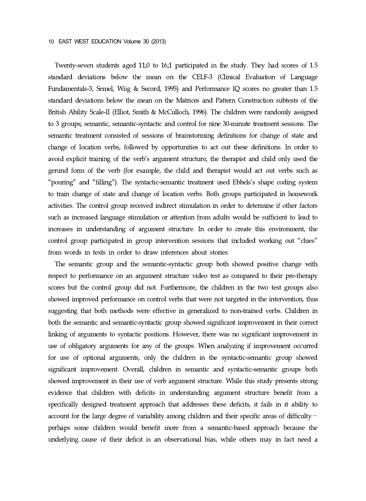Twenty-seven students aged 11;0 to 16;1 participated in the study. They had scores of 1.5 standard deviations below the mean on the CELF-3 (Clinical Evaluation of Language Fundamentals-3, Semel, Wiig & Secord, 1995) and Performance IQ scores no greater than 1.5 standard deviations below the mean on the Matrices and Pattern Construction subtests of the British Ability Scale-II (Elliot, Smith & McCulloch, 1996). The children were randomly assigned to 3 groups; semantic, semantic-syntactic and control for nine 30-minute treatment sessions. The semantic treatment consisted of sessions of brainstorming definitions for change of state and change of location verbs, followed by opportunities to act out these definitions. In order to avoid explicit training of the verb's argument structure, the therapist and child only used the gerund form of the verb (for example, the child and therapist would act out verbs such as "pouring" and "filling"). The syntactic-semantic treatment used Ebbels's shape coding system to train change of state and change of location verbs. Both groups participated in homework activities. The control group received indirect stimulation in order to determine if other factors such asincreased language stimulation or attention from adults would be sufficient to lead to increases in understanding of argument structure. In order to create this environment, the control group participated in group intervention sessions that included working out "clues" from words in texts in order to draw inferences about stories.

The semantic group and the semantic-syntactic group both showed positive change with respect to performance on an argument structure video test as compared to their pre-therapy scores but the control group did not. Furthermore, the children in the two test groups also showed improved performance on control verbs that were not targeted in the intervention, thus suggesting that both methods were effective in generalized to non-trained verbs. Children in both the semantic and semantic-syntactic group showed significant improvement in their correct linking of arguments to syntactic positions. However, there was no significant improvement in use of obligatory arguments for any of the groups. When analyzing if improvement occurred for use of optional arguments, only the children in the syntactic-semantic group showed significant improvement. Overall, children in semantic and syntactic-semantic groups both showed improvement in their use of verb argument structure. While this study presents strong evidence that children with deficits in understanding argument structure benefit from a specifically designed treatment approach that addresses these deficits, it fails in it ability to account for the large degree of variability among children and their specific areas of difficulty perhaps some children would benefit more from a semantic-based approach because the underlying cause of their deficit is an observational bias, while others may in fact need a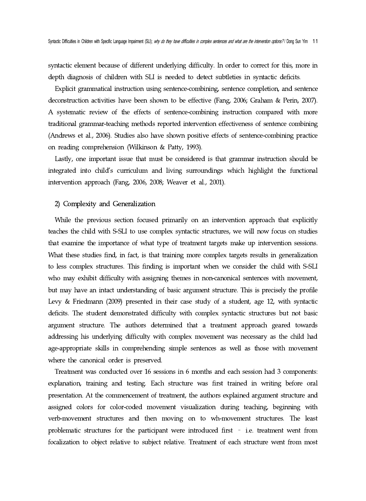syntactic element because of different underlying difficulty. In order to correct for this, more in depth diagnosis of children with SLI is needed to detect subtleties in syntactic deficits.

Explicit grammatical instruction using sentence-combining, sentence completion, and sentence deconstruction activities have been shown to be effective (Fang, 2006; Graham & Perin, 2007). A systematic review of the effects of sentence-combining instruction compared with more traditional grammar-teaching methods reported intervention effectiveness of sentence combining (Andrews et al., 2006). Studies also have shown positive effects of sentence-combining practice on reading comprehension (Wilkinson & Patty, 1993).

Lastly, one important issue that must be considered is that grammar instruction should be integrated into child's curriculum and living surroundings which highlight the functional intervention approach (Fang, 2006, 2008; Weaver et al., 2001).

### 2) Complexity and Generalization

While the previous section focused primarily on an intervention approach that explicitly teaches the child with S-SLI to use complex syntactic structures, we will now focus on studies that examine the importance of what type of treatment targets make up intervention sessions. What these studies find, in fact, is that training more complex targets results in generalization to less complex structures. This finding is important when we consider the child with S-SLI who may exhibit difficulty with assigning themes in non-canonical sentences with movement, but may have an intact understanding of basic argument structure. This is precisely the profile Levy & Friedmann (2009) presented in their case study of a student, age 12, with syntactic deficits. The student demonstrated difficulty with complex syntactic structures but not basic argument structure. The authors determined that a treatment approach geared towards addressing his underlying difficulty with complex movement was necessary as the child had age-appropriate skills in comprehending simple sentences as well as those with movement where the canonical order is preserved.

Treatment was conducted over 16 sessions in 6 months and each session had 3components: explanation, training and testing. Each structure was first trained in writing before oral presentation. At the commencement of treatment, the authors explained argument structure and assigned colors for color-coded movement visualization during teaching, beginning with verb-movement structures and then moving on to wh-movement structures. The least problematic structures for the participant were introduced first– i.e. treatment went from focalization to object relative to subject relative. Treatment of each structure went from most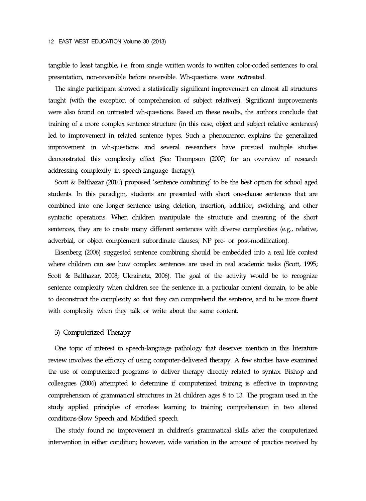tangible to least tangible, i.e. from single written words to written color-coded sentences to oral presentation, non-reversible before reversible. Wh-questions were *not*treated.

The single participant showed a statistically significant improvement on almost all structures taught (with the exception of comprehension of subject relatives). Significant improvements were also found on untreated wh-questions. Based on these results, the authors conclude that training of a more complex sentence structure (in this case, object and subject relative sentences) led to improvement in related sentence types. Such a phenomenon explains the generalized improvement in wh-questions and several researchers have pursued multiple studies demonstrated this complexity effect (See Thompson (2007) for an overview of research addressing complexity in speech-language therapy).

Scott & Balthazar (2010) proposed 'sentence combining' to be the best option for school aged students. In this paradigm, students are presented with short one-clause sentences that are combined into one longer sentence using deletion, insertion, addition, switching, and other syntactic operations. When children manipulate the structure and meaning of the short sentences, they are to create many different sentences with diverse complexities (e.g., relative, adverbial, or object complement subordinate clauses; NP pre- or post-modification).

Eisenberg (2006) suggested sentence combining should be embedded into a real life context where children can see how complex sentences are used in real academic tasks (Scott, 1995; Scott & Balthazar, 2008; Ukrainetz, 2006). The goal of the activity would be to recognize sentence complexity when children see the sentence in a particular content domain, to be able to deconstruct the complexity so that they can comprehend the sentence, and to be more fluent with complexity when they talk or write about the same content.

### 3) Computerized Therapy

One topic of interest in speech-language pathology that deserves mention in this literature review involves the efficacy of using computer-delivered therapy. A few studies have examined the use of computerized programs to deliver therapy directly related to syntax. Bishop and colleagues (2006) attempted to determine if computerized training is effective in improving comprehension of grammatical structures in 24 children ages 8 to 13. The program used in the study applied principles of errorless learning to training comprehension in two altered conditions-Slow Speech and Modified speech.

The study found no improvement in children's grammatical skills after the computerized intervention in either condition; however, wide variation in the amount of practice received by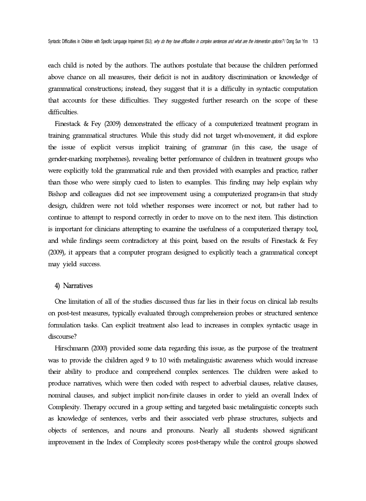each child is noted by the authors. The authors postulate that because the children performed above chance on all measures, their deficit is not in auditory discrimination or knowledge of grammatical constructions; instead, they suggest that it is a difficulty in syntactic computation that accounts for these difficulties. They suggested further research on the scope of these difficulties.

Finestack & Fey (2009) demonstrated the efficacy of a computerized treatment program in training grammatical structures. While this study did not target wh-movement, it did explore the issue of explicit versus implicit training of grammar (in this case, the usage of gender-marking morphemes), revealing better performance of children in treatment groups who were explicitly told the grammatical rule and then provided with examples and practice, rather than those who were simply cued to listen to examples. This finding may help explain why Bishop and colleagues did not see improvement using a computerized program-in that study design, children were not told whether responses were incorrect or not, but rather had to continue to attempt to respond correctly in order to move on to the next item. This distinction is important for clinicians attempting to examine the usefulness of a computerized therapy tool, and while findings seem contradictory at this point, based on the results of Finestack & Fey (2009), it appears that a computer program designed to explicitly teach a grammatical concept may yield success.

### 4) Narratives

One limitation of all of the studies discussed thus far lies in their focus on clinical lab results on post-test measures, typically evaluated through comprehension probes or structured sentence formulation tasks. Can explicit treatment also lead to increases in complex syntactic usage in discourse?

Hirschmann (2000) provided some data regarding this issue, as the purpose of the treatment was to provide the children aged 9 to 10 with metalinguistic awareness which would increase their ability to produce and comprehend complex sentences. The children were asked to produce narratives, which were then coded with respect to adverbial clauses, relative clauses, nominal clauses, and subject implicit non-finite clauses in order to yield an overall Index of Complexity. Therapy occured in a group setting and targeted basic metalinguistic concepts such as knowledge of sentences, verbs and their associated verb phrase structures, subjects and objects of sentences, and nouns and pronouns. Nearly all students showed significant improvement in the Index of Complexity scores post-therapy while the control groups showed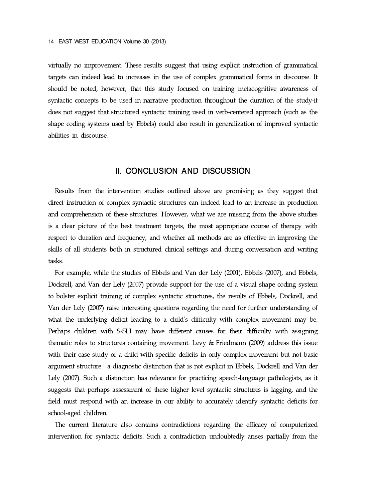virtually no improvement. These results suggest that using explicit instruction of grammatical targets can indeed lead to increases in the use of complex grammatical forms in discourse. It should be noted, however, that this study focused on training metacognitive awareness of syntactic concepts to be used in narrative production throughout the duration of the study-it does not suggest that structured syntactic training used in verb-centered approach (such as the shape coding systems used by Ebbels) could also result in generalization of improved syntactic abilities in discourse.

## II. CONCLUSION AND DISCUSSION

Results from the intervention studies outlined above are promising as they suggest that direct instruction of complex syntactic structures can indeed lead to an increase in production and comprehension of these structures. However, what we are missing from the above studies is a clear picture of the best treatment targets, the most appropriate course of therapy with respect to duration and frequency, and whether all methods are as effective in improving the skills of all students both in structured clinical settings and during conversation and writing tasks.

For example, while the studies of Ebbels and Van der Lely (2001), Ebbels (2007), and Ebbels, Dockrell, and Van der Lely (2007) provide support for the use of a visual shape coding system to bolster explicit training of complex syntactic structures, the results of Ebbels, Dockrell, and Van der Lely (2007) raise interesting questions regarding the need for further understanding of what the underlying deficit leading to a child's difficulty with complex movement may be. Perhaps children with S-SLI may have different causes for their difficulty with assigning thematic roles to structures containing movement. Levy & Friedmann (2009) address this issue with their case study of a child with specific deficits in only complex movement but not basic argument structure—a diagnostic distinction that is not explicit in Ebbels, Dockrell and Van der Lely (2007). Such a distinction has relevance for practicing speech-language pathologists, as it suggests that perhaps assessment of these higher level syntactic structures is lagging, and the field must respond with an increase in our ability to accurately identify syntactic deficits for school-aged children.

The current literature also contains contradictions regarding the efficacy of computerized intervention for syntactic deficits. Such a contradiction undoubtedly arises partially from the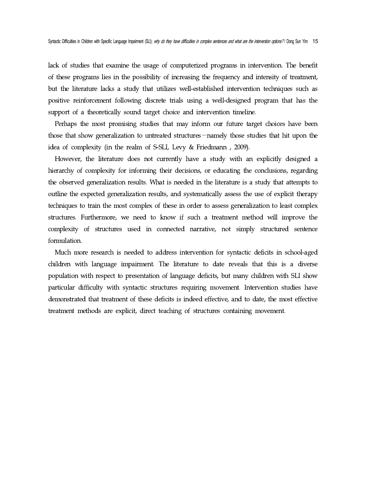lack of studies that examine the usage of computerized programs in intervention. The benefit of these programs lies in the possibility of increasing the frequency and intensity of treatment, but the literature lacks a study that utilizes well-established intervention techniques such as positive reinforcement following discrete trials using a well-designed program that has the support of a theoretically sound target choice and intervention timeline.

Perhaps the most promising studies that may inform our future target choices have been those that show generalization to untreated structures—namely those studies that hit upon the idea of complexity (in the realm of S-SLI, Levy & Friedmann , 2009).

However, the literature does not currently have a study with an explicitly designed a hierarchy of complexity for informing their decisions, or educating the conclusions, regarding the observed generalization results. What is needed in the literature is a study that attempts to outline the expected generalization results, and systematically assess the use of explicit therapy techniques to train the most complex of these in order to assess generalization to least complex structures. Furthermore, we need to know if such a treatment method will improve the complexity of structures used in connected narrative, not simply structured sentence formulation.

Much more research is needed to address intervention for syntactic deficits in school-aged children with language impairment. The literature to date reveals that this is a diverse population with respect to presentation of language deficits, but many children with SLI show particular difficulty with syntactic structures requiring movement. Intervention studies have demonstrated that treatment of these deficits is indeed effective, and to date, the most effective treatment methods are explicit, direct teaching of structures containing movement.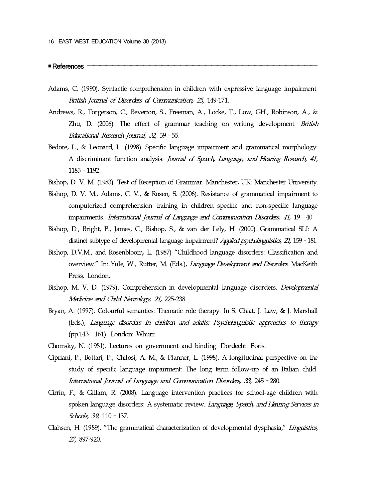■References ―――――――――――――――――――――――――――――――――――――

- Adams, C. (1990). Syntactic comprehension in children with expressive language impairment. British Journal of Disorders of Communication, 25, 149-171.
- Andrews, R., Torgerson, C., Beverton, S., Freeman, A., Locke, T., Low, GH., Robinson, A., & Zhu, D. (2006). The effect of grammar teaching on writing development. British Educational Research Journal, 32, 39–55.
- Bedore, L., & Leonard, L. (1998). Specific language impairment and grammatical morphology: A discriminant function analysis. Journal of Speech, Language, and Hearing Research, 41, 1185–1192.
- Bishop, D. V. M. (1983). Test of Reception of Grammar. Manchester, UK: Manchester University.
- Bishop, D. V. M., Adams, C. V., & Rosen, S. (2006). Resistance of grammatical impairment to computerized comprehension training in children specific and non-specific language impairments. International Journal of Language and Communication Disorders, 41, 19–40.
- Bishop, D., Bright, P., James, C., Bishop, S., & van der Lely, H. (2000). Grammatical SLI: A distinct subtype of developmental language impairment? Applied psycholinguistics, 21, 159 - 181.
- Bishop, D.V.M., and Rosenbloom, L. (1987) "Childhood language disorders: Classification and overview." In: Yule, W., Rutter, M. (Eds.), Language Development and Disorders. MacKeith Press, London.
- Bishop, M. V. D. (1979). Comprehension in developmental language disorders. Developmental Medicine and Child Neurology, 21, 225-238.
- Bryan, A. (1997). Colourful semantics: Thematic role therapy. In S. Chiat, J. Law, & J. Marshall (Eds.), Language disorders in children and adults: Psycholinguistic approaches to therapy (pp.143–161). London: Whurr.
- Chomsky, N. (1981). Lectures on government and binding. Dordecht: Foris.
- Cipriani, P., Bottari, P., Chilosi, A. M., & Pfanner, L. (1998). A longitudinal perspective on the study of specific language impairment: The long term follow-up of an Italian child. International Journal of Language and Communication Disorders, 33, 245–280.
- Cirrin, F., & Gillam, R. (2008). Language intervention practices for school-age children with spoken language disorders: A systematic review. Language, Speech, and Hearing Services in Schools, 39, 110–137.
- Clahsen, H. (1989). "The grammatical characterization of developmental dysphasia," Linguistics, 27, 897-920.